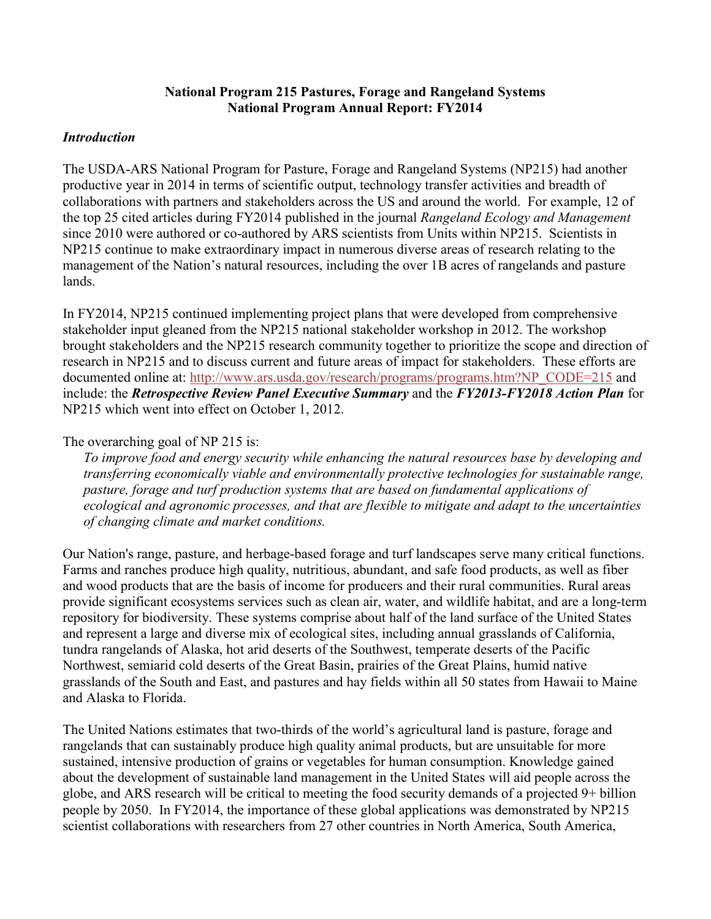### **National Program 215 Pastures, Forage and Rangeland Systems National Program Annual Report: FY2014**

### *Introduction*

The USDA-ARS National Program for Pasture, Forage and Rangeland Systems (NP215) had another productive year in 2014 in terms of scientific output, technology transfer activities and breadth of collaborations with partners and stakeholders across the US and around the world. For example, 12 of the top 25 cited articles during FY2014 published in the journal *Rangeland Ecology and Management* since 2010 were authored or co-authored by ARS scientists from Units within NP215. Scientists in NP215 continue to make extraordinary impact in numerous diverse areas of research relating to the management of the Nation's natural resources, including the over 1B acres of rangelands and pasture lands.

In FY2014, NP215 continued implementing project plans that were developed from comprehensive stakeholder input gleaned from the NP215 national stakeholder workshop in 2012. The workshop brought stakeholders and the NP215 research community together to prioritize the scope and direction of research in NP215 and to discuss current and future areas of impact for stakeholders. These efforts are documented online at: [http://www.ars.usda.gov/research/programs/programs.htm?NP\\_CODE=215](http://www.ars.usda.gov/research/programs/programs.htm?NP_CODE=215) and include: the *Retrospective Review Panel Executive Summary* and the *FY2013-FY2018 Action Plan* for NP215 which went into effect on October 1, 2012.

### The overarching goal of NP 215 is:

*To improve food and energy security while enhancing the natural resources base by developing and transferring economically viable and environmentally protective technologies for sustainable range, pasture, forage and turf production systems that are based on fundamental applications of ecological and agronomic processes, and that are flexible to mitigate and adapt to the uncertainties of changing climate and market conditions.* 

Our Nation's range, pasture, and herbage-based forage and turf landscapes serve many critical functions. Farms and ranches produce high quality, nutritious, abundant, and safe food products, as well as fiber and wood products that are the basis of income for producers and their rural communities. Rural areas provide significant ecosystems services such as clean air, water, and wildlife habitat, and are a long-term repository for biodiversity. These systems comprise about half of the land surface of the United States and represent a large and diverse mix of ecological sites, including annual grasslands of California, tundra rangelands of Alaska, hot arid deserts of the Southwest, temperate deserts of the Pacific Northwest, semiarid cold deserts of the Great Basin, prairies of the Great Plains, humid native grasslands of the South and East, and pastures and hay fields within all 50 states from Hawaii to Maine and Alaska to Florida.

The United Nations estimates that two-thirds of the world's agricultural land is pasture, forage and rangelands that can sustainably produce high quality animal products, but are unsuitable for more sustained, intensive production of grains or vegetables for human consumption. Knowledge gained about the development of sustainable land management in the United States will aid people across the globe, and ARS research will be critical to meeting the food security demands of a projected 9+ billion people by 2050. In FY2014, the importance of these global applications was demonstrated by NP215 scientist collaborations with researchers from 27 other countries in North America, South America,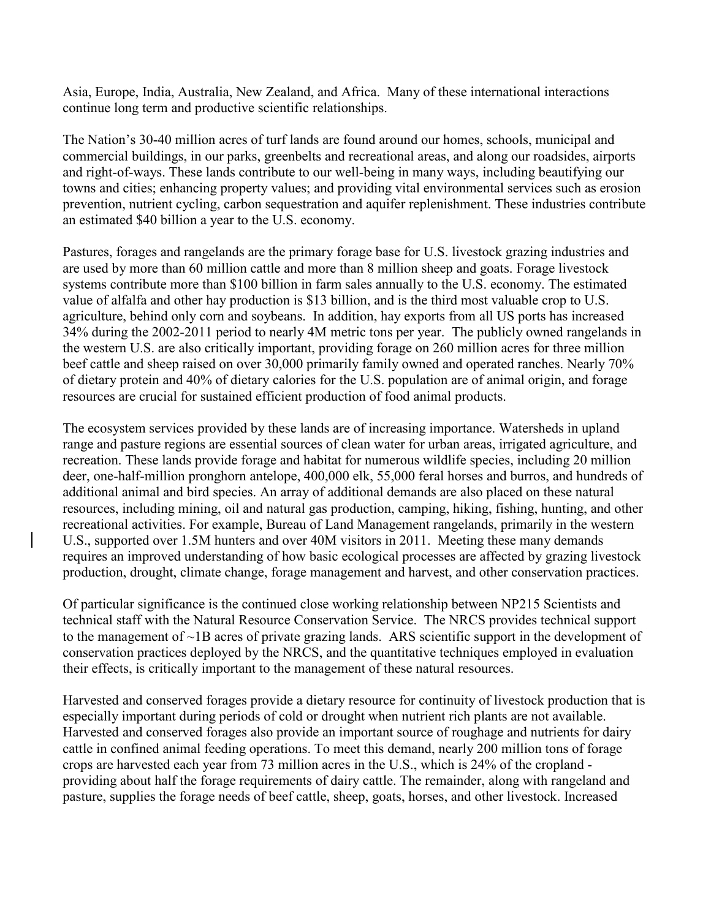Asia, Europe, India, Australia, New Zealand, and Africa. Many of these international interactions continue long term and productive scientific relationships.

The Nation's 30-40 million acres of turf lands are found around our homes, schools, municipal and commercial buildings, in our parks, greenbelts and recreational areas, and along our roadsides, airports and right-of-ways. These lands contribute to our well-being in many ways, including beautifying our towns and cities; enhancing property values; and providing vital environmental services such as erosion prevention, nutrient cycling, carbon sequestration and aquifer replenishment. These industries contribute an estimated \$40 billion a year to the U.S. economy.

Pastures, forages and rangelands are the primary forage base for U.S. livestock grazing industries and are used by more than 60 million cattle and more than 8 million sheep and goats. Forage livestock systems contribute more than \$100 billion in farm sales annually to the U.S. economy. The estimated value of alfalfa and other hay production is \$13 billion, and is the third most valuable crop to U.S. agriculture, behind only corn and soybeans. In addition, hay exports from all US ports has increased 34% during the 2002-2011 period to nearly 4M metric tons per year. The publicly owned rangelands in the western U.S. are also critically important, providing forage on 260 million acres for three million beef cattle and sheep raised on over 30,000 primarily family owned and operated ranches. Nearly 70% of dietary protein and 40% of dietary calories for the U.S. population are of animal origin, and forage resources are crucial for sustained efficient production of food animal products.

The ecosystem services provided by these lands are of increasing importance. Watersheds in upland range and pasture regions are essential sources of clean water for urban areas, irrigated agriculture, and recreation. These lands provide forage and habitat for numerous wildlife species, including 20 million deer, one-half-million pronghorn antelope, 400,000 elk, 55,000 feral horses and burros, and hundreds of additional animal and bird species. An array of additional demands are also placed on these natural resources, including mining, oil and natural gas production, camping, hiking, fishing, hunting, and other recreational activities. For example, Bureau of Land Management rangelands, primarily in the western U.S., supported over 1.5M hunters and over 40M visitors in 2011. Meeting these many demands requires an improved understanding of how basic ecological processes are affected by grazing livestock production, drought, climate change, forage management and harvest, and other conservation practices.

Of particular significance is the continued close working relationship between NP215 Scientists and technical staff with the Natural Resource Conservation Service. The NRCS provides technical support to the management of ~1B acres of private grazing lands. ARS scientific support in the development of conservation practices deployed by the NRCS, and the quantitative techniques employed in evaluation their effects, is critically important to the management of these natural resources.

Harvested and conserved forages provide a dietary resource for continuity of livestock production that is especially important during periods of cold or drought when nutrient rich plants are not available. Harvested and conserved forages also provide an important source of roughage and nutrients for dairy cattle in confined animal feeding operations. To meet this demand, nearly 200 million tons of forage crops are harvested each year from 73 million acres in the U.S., which is 24% of the cropland providing about half the forage requirements of dairy cattle. The remainder, along with rangeland and pasture, supplies the forage needs of beef cattle, sheep, goats, horses, and other livestock. Increased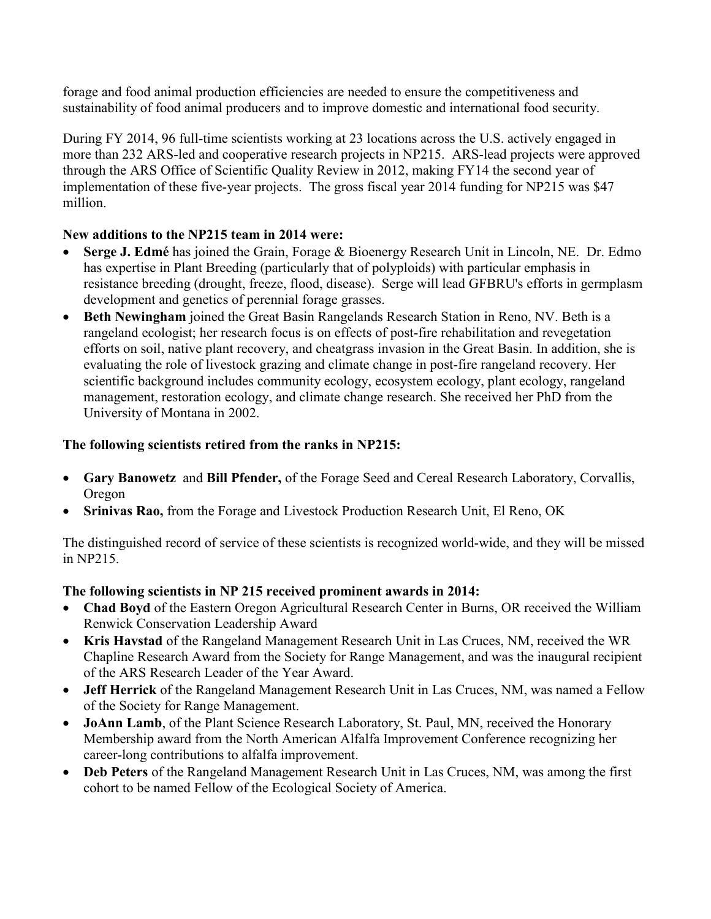forage and food animal production efficiencies are needed to ensure the competitiveness and sustainability of food animal producers and to improve domestic and international food security.

During FY 2014, 96 full-time scientists working at 23 locations across the U.S. actively engaged in more than 232 ARS-led and cooperative research projects in NP215. ARS-lead projects were approved through the ARS Office of Scientific Quality Review in 2012, making FY14 the second year of implementation of these five-year projects. The gross fiscal year 2014 funding for NP215 was \$47 million.

# **New additions to the NP215 team in 2014 were:**

- **Serge J. Edmé** has joined the Grain, Forage & Bioenergy Research Unit in Lincoln, NE. Dr. Edmo has expertise in Plant Breeding (particularly that of polyploids) with particular emphasis in resistance breeding (drought, freeze, flood, disease). Serge will lead GFBRU's efforts in germplasm development and genetics of perennial forage grasses.
- **Beth Newingham** joined the Great Basin Rangelands Research Station in Reno, NV. Beth is a rangeland ecologist; her research focus is on effects of post-fire rehabilitation and revegetation efforts on soil, native plant recovery, and cheatgrass invasion in the Great Basin. In addition, she is evaluating the role of livestock grazing and climate change in post-fire rangeland recovery. Her scientific background includes community ecology, ecosystem ecology, plant ecology, rangeland management, restoration ecology, and climate change research. She received her PhD from the University of Montana in 2002.

# **The following scientists retired from the ranks in NP215:**

- **Gary Banowetz** and **Bill Pfender,** of the Forage Seed and Cereal Research Laboratory, Corvallis, Oregon
- **Srinivas Rao,** from the Forage and Livestock Production Research Unit, El Reno, OK

The distinguished record of service of these scientists is recognized world-wide, and they will be missed in NP215.

## **The following scientists in NP 215 received prominent awards in 2014:**

- **Chad Boyd** of the Eastern Oregon Agricultural Research Center in Burns, OR received the William Renwick Conservation Leadership Award
- **Kris Havstad** of the Rangeland Management Research Unit in Las Cruces, NM, received the WR Chapline Research Award from the Society for Range Management, and was the inaugural recipient of the ARS Research Leader of the Year Award.
- **Jeff Herrick** of the Rangeland Management Research Unit in Las Cruces, NM, was named a Fellow of the Society for Range Management.
- **JoAnn Lamb**, of the Plant Science Research Laboratory, St. Paul, MN, received the Honorary Membership award from the North American Alfalfa Improvement Conference recognizing her career-long contributions to alfalfa improvement.
- **Deb Peters** of the Rangeland Management Research Unit in Las Cruces, NM, was among the first cohort to be named Fellow of the Ecological Society of America.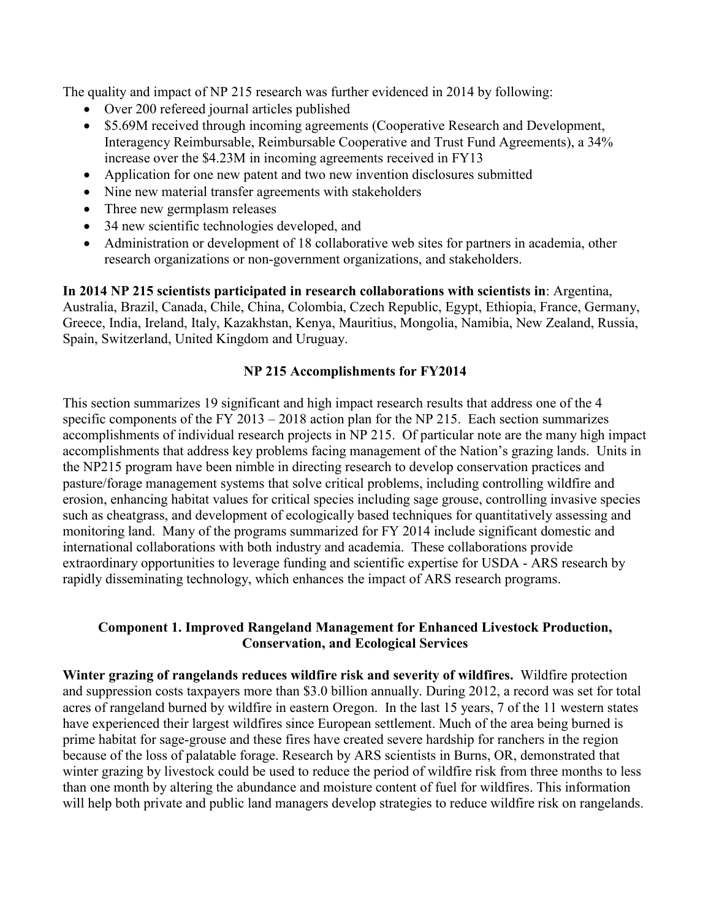The quality and impact of NP 215 research was further evidenced in 2014 by following:

- Over 200 refereed journal articles published
- \$5.69M received through incoming agreements (Cooperative Research and Development, Interagency Reimbursable, Reimbursable Cooperative and Trust Fund Agreements), a 34% increase over the \$4.23M in incoming agreements received in FY13
- Application for one new patent and two new invention disclosures submitted
- Nine new material transfer agreements with stakeholders
- Three new germplasm releases
- 34 new scientific technologies developed, and
- Administration or development of 18 collaborative web sites for partners in academia, other research organizations or non-government organizations, and stakeholders.

**In 2014 NP 215 scientists participated in research collaborations with scientists in**: Argentina, Australia, Brazil, Canada, Chile, China, Colombia, Czech Republic, Egypt, Ethiopia, France, Germany, Greece, India, Ireland, Italy, Kazakhstan, Kenya, Mauritius, Mongolia, Namibia, New Zealand, Russia, Spain, Switzerland, United Kingdom and Uruguay.

## **NP 215 Accomplishments for FY2014**

This section summarizes 19 significant and high impact research results that address one of the 4 specific components of the FY 2013 – 2018 action plan for the NP 215. Each section summarizes accomplishments of individual research projects in NP 215. Of particular note are the many high impact accomplishments that address key problems facing management of the Nation's grazing lands. Units in the NP215 program have been nimble in directing research to develop conservation practices and pasture/forage management systems that solve critical problems, including controlling wildfire and erosion, enhancing habitat values for critical species including sage grouse, controlling invasive species such as cheatgrass, and development of ecologically based techniques for quantitatively assessing and monitoring land. Many of the programs summarized for FY 2014 include significant domestic and international collaborations with both industry and academia. These collaborations provide extraordinary opportunities to leverage funding and scientific expertise for USDA - ARS research by rapidly disseminating technology, which enhances the impact of ARS research programs.

## **Component 1. Improved Rangeland Management for Enhanced Livestock Production, Conservation, and Ecological Services**

**Winter grazing of rangelands reduces wildfire risk and severity of wildfires.** Wildfire protection and suppression costs taxpayers more than \$3.0 billion annually. During 2012, a record was set for total acres of rangeland burned by wildfire in eastern Oregon. In the last 15 years, 7 of the 11 western states have experienced their largest wildfires since European settlement. Much of the area being burned is prime habitat for sage-grouse and these fires have created severe hardship for ranchers in the region because of the loss of palatable forage. Research by ARS scientists in Burns, OR, demonstrated that winter grazing by livestock could be used to reduce the period of wildfire risk from three months to less than one month by altering the abundance and moisture content of fuel for wildfires. This information will help both private and public land managers develop strategies to reduce wildfire risk on rangelands.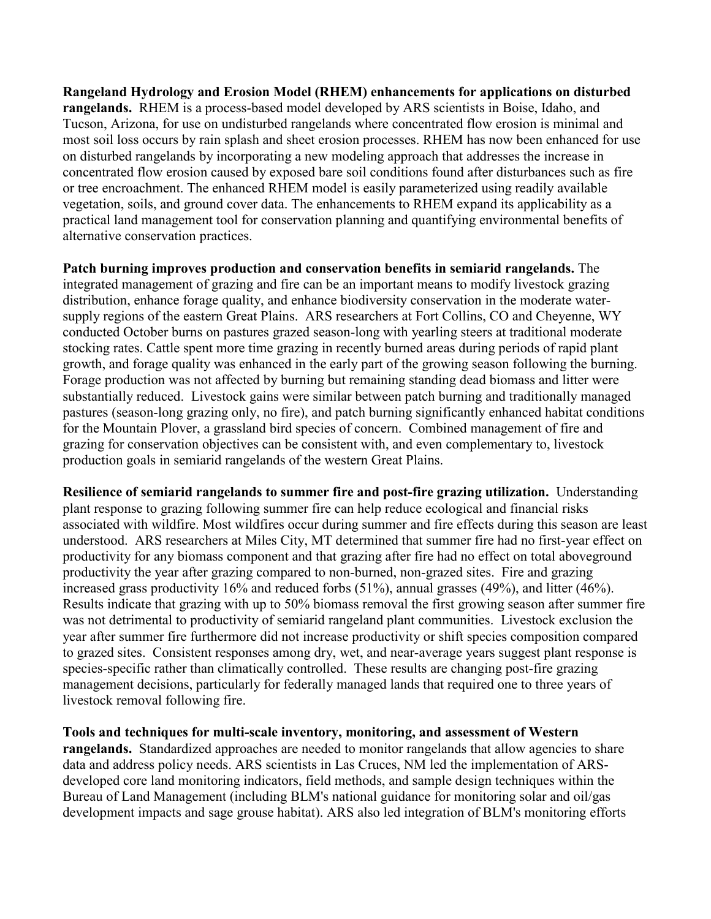**Rangeland Hydrology and Erosion Model (RHEM) enhancements for applications on disturbed rangelands.** RHEM is a process-based model developed by ARS scientists in Boise, Idaho, and Tucson, Arizona, for use on undisturbed rangelands where concentrated flow erosion is minimal and most soil loss occurs by rain splash and sheet erosion processes. RHEM has now been enhanced for use on disturbed rangelands by incorporating a new modeling approach that addresses the increase in concentrated flow erosion caused by exposed bare soil conditions found after disturbances such as fire or tree encroachment. The enhanced RHEM model is easily parameterized using readily available vegetation, soils, and ground cover data. The enhancements to RHEM expand its applicability as a practical land management tool for conservation planning and quantifying environmental benefits of alternative conservation practices.

**Patch burning improves production and conservation benefits in semiarid rangelands.** The integrated management of grazing and fire can be an important means to modify livestock grazing distribution, enhance forage quality, and enhance biodiversity conservation in the moderate watersupply regions of the eastern Great Plains. ARS researchers at Fort Collins, CO and Cheyenne, WY conducted October burns on pastures grazed season-long with yearling steers at traditional moderate stocking rates. Cattle spent more time grazing in recently burned areas during periods of rapid plant growth, and forage quality was enhanced in the early part of the growing season following the burning. Forage production was not affected by burning but remaining standing dead biomass and litter were substantially reduced. Livestock gains were similar between patch burning and traditionally managed pastures (season-long grazing only, no fire), and patch burning significantly enhanced habitat conditions for the Mountain Plover, a grassland bird species of concern. Combined management of fire and grazing for conservation objectives can be consistent with, and even complementary to, livestock production goals in semiarid rangelands of the western Great Plains.

**Resilience of semiarid rangelands to summer fire and post-fire grazing utilization.** Understanding plant response to grazing following summer fire can help reduce ecological and financial risks associated with wildfire. Most wildfires occur during summer and fire effects during this season are least understood. ARS researchers at Miles City, MT determined that summer fire had no first-year effect on productivity for any biomass component and that grazing after fire had no effect on total aboveground productivity the year after grazing compared to non-burned, non-grazed sites. Fire and grazing increased grass productivity 16% and reduced forbs (51%), annual grasses (49%), and litter (46%). Results indicate that grazing with up to 50% biomass removal the first growing season after summer fire was not detrimental to productivity of semiarid rangeland plant communities. Livestock exclusion the year after summer fire furthermore did not increase productivity or shift species composition compared to grazed sites. Consistent responses among dry, wet, and near-average years suggest plant response is species-specific rather than climatically controlled. These results are changing post-fire grazing management decisions, particularly for federally managed lands that required one to three years of livestock removal following fire.

**Tools and techniques for multi-scale inventory, monitoring, and assessment of Western**  rangelands. Standardized approaches are needed to monitor rangelands that allow agencies to share data and address policy needs. ARS scientists in Las Cruces, NM led the implementation of ARSdeveloped core land monitoring indicators, field methods, and sample design techniques within the Bureau of Land Management (including BLM's national guidance for monitoring solar and oil/gas development impacts and sage grouse habitat). ARS also led integration of BLM's monitoring efforts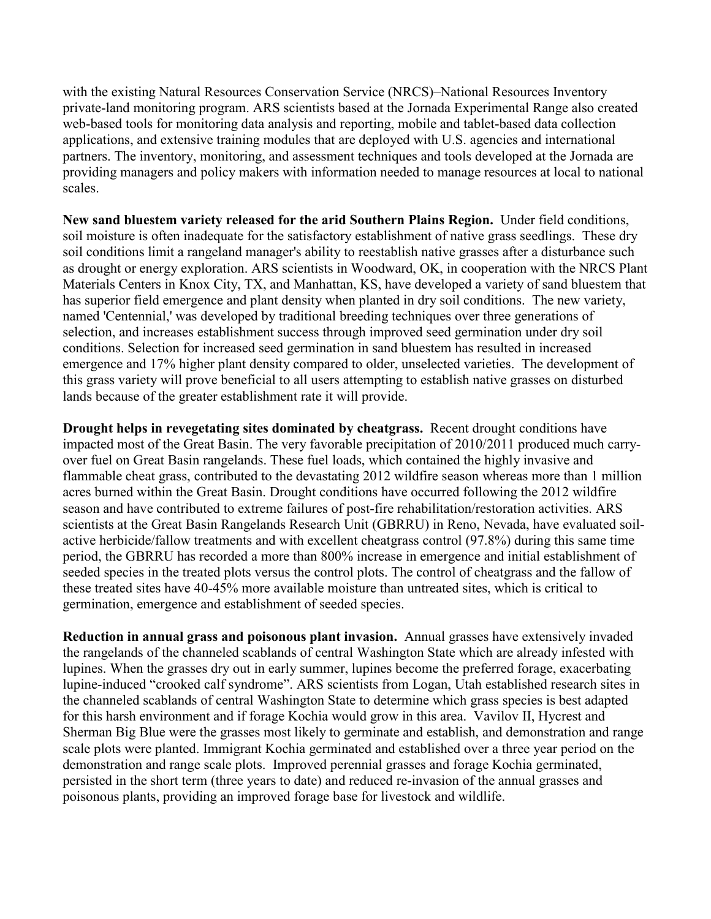with the existing Natural Resources Conservation Service (NRCS)–National Resources Inventory private-land monitoring program. ARS scientists based at the Jornada Experimental Range also created web-based tools for monitoring data analysis and reporting, mobile and tablet-based data collection applications, and extensive training modules that are deployed with U.S. agencies and international partners. The inventory, monitoring, and assessment techniques and tools developed at the Jornada are providing managers and policy makers with information needed to manage resources at local to national scales.

**New sand bluestem variety released for the arid Southern Plains Region.** Under field conditions, soil moisture is often inadequate for the satisfactory establishment of native grass seedlings. These dry soil conditions limit a rangeland manager's ability to reestablish native grasses after a disturbance such as drought or energy exploration. ARS scientists in Woodward, OK, in cooperation with the NRCS Plant Materials Centers in Knox City, TX, and Manhattan, KS, have developed a variety of sand bluestem that has superior field emergence and plant density when planted in dry soil conditions. The new variety, named 'Centennial,' was developed by traditional breeding techniques over three generations of selection, and increases establishment success through improved seed germination under dry soil conditions. Selection for increased seed germination in sand bluestem has resulted in increased emergence and 17% higher plant density compared to older, unselected varieties. The development of this grass variety will prove beneficial to all users attempting to establish native grasses on disturbed lands because of the greater establishment rate it will provide.

**Drought helps in revegetating sites dominated by cheatgrass.** Recent drought conditions have impacted most of the Great Basin. The very favorable precipitation of 2010/2011 produced much carryover fuel on Great Basin rangelands. These fuel loads, which contained the highly invasive and flammable cheat grass, contributed to the devastating 2012 wildfire season whereas more than 1 million acres burned within the Great Basin. Drought conditions have occurred following the 2012 wildfire season and have contributed to extreme failures of post-fire rehabilitation/restoration activities. ARS scientists at the Great Basin Rangelands Research Unit (GBRRU) in Reno, Nevada, have evaluated soilactive herbicide/fallow treatments and with excellent cheatgrass control (97.8%) during this same time period, the GBRRU has recorded a more than 800% increase in emergence and initial establishment of seeded species in the treated plots versus the control plots. The control of cheatgrass and the fallow of these treated sites have 40-45% more available moisture than untreated sites, which is critical to germination, emergence and establishment of seeded species.

**Reduction in annual grass and poisonous plant invasion.** Annual grasses have extensively invaded the rangelands of the channeled scablands of central Washington State which are already infested with lupines. When the grasses dry out in early summer, lupines become the preferred forage, exacerbating lupine-induced "crooked calf syndrome". ARS scientists from Logan, Utah established research sites in the channeled scablands of central Washington State to determine which grass species is best adapted for this harsh environment and if forage Kochia would grow in this area. Vavilov II, Hycrest and Sherman Big Blue were the grasses most likely to germinate and establish, and demonstration and range scale plots were planted. Immigrant Kochia germinated and established over a three year period on the demonstration and range scale plots. Improved perennial grasses and forage Kochia germinated, persisted in the short term (three years to date) and reduced re-invasion of the annual grasses and poisonous plants, providing an improved forage base for livestock and wildlife.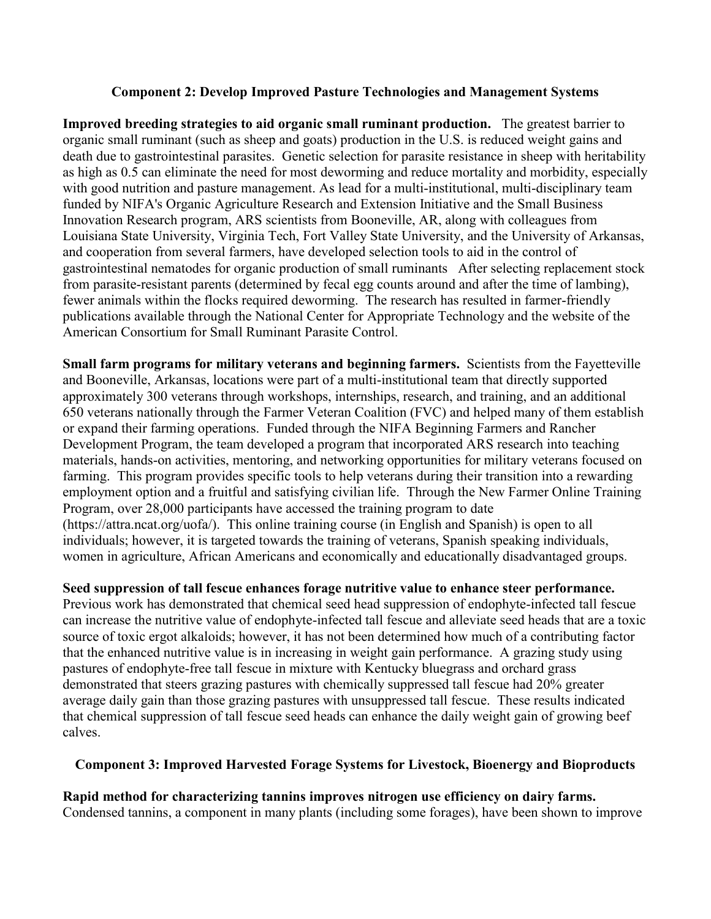#### **Component 2: Develop Improved Pasture Technologies and Management Systems**

**Improved breeding strategies to aid organic small ruminant production.** The greatest barrier to organic small ruminant (such as sheep and goats) production in the U.S. is reduced weight gains and death due to gastrointestinal parasites. Genetic selection for parasite resistance in sheep with heritability as high as 0.5 can eliminate the need for most deworming and reduce mortality and morbidity, especially with good nutrition and pasture management. As lead for a multi-institutional, multi-disciplinary team funded by NIFA's Organic Agriculture Research and Extension Initiative and the Small Business Innovation Research program, ARS scientists from Booneville, AR, along with colleagues from Louisiana State University, Virginia Tech, Fort Valley State University, and the University of Arkansas, and cooperation from several farmers, have developed selection tools to aid in the control of gastrointestinal nematodes for organic production of small ruminants After selecting replacement stock from parasite-resistant parents (determined by fecal egg counts around and after the time of lambing), fewer animals within the flocks required deworming. The research has resulted in farmer-friendly publications available through the National Center for Appropriate Technology and the website of the American Consortium for Small Ruminant Parasite Control.

**Small farm programs for military veterans and beginning farmers.** Scientists from the Fayetteville and Booneville, Arkansas, locations were part of a multi-institutional team that directly supported approximately 300 veterans through workshops, internships, research, and training, and an additional 650 veterans nationally through the Farmer Veteran Coalition (FVC) and helped many of them establish or expand their farming operations. Funded through the NIFA Beginning Farmers and Rancher Development Program, the team developed a program that incorporated ARS research into teaching materials, hands-on activities, mentoring, and networking opportunities for military veterans focused on farming. This program provides specific tools to help veterans during their transition into a rewarding employment option and a fruitful and satisfying civilian life. Through the New Farmer Online Training Program, over 28,000 participants have accessed the training program to date (https://attra.ncat.org/uofa/). This online training course (in English and Spanish) is open to all individuals; however, it is targeted towards the training of veterans, Spanish speaking individuals, women in agriculture, African Americans and economically and educationally disadvantaged groups.

## **Seed suppression of tall fescue enhances forage nutritive value to enhance steer performance.**

Previous work has demonstrated that chemical seed head suppression of endophyte-infected tall fescue can increase the nutritive value of endophyte-infected tall fescue and alleviate seed heads that are a toxic source of toxic ergot alkaloids; however, it has not been determined how much of a contributing factor that the enhanced nutritive value is in increasing in weight gain performance. A grazing study using pastures of endophyte-free tall fescue in mixture with Kentucky bluegrass and orchard grass demonstrated that steers grazing pastures with chemically suppressed tall fescue had 20% greater average daily gain than those grazing pastures with unsuppressed tall fescue. These results indicated that chemical suppression of tall fescue seed heads can enhance the daily weight gain of growing beef calves.

## **Component 3: Improved Harvested Forage Systems for Livestock, Bioenergy and Bioproducts**

**Rapid method for characterizing tannins improves nitrogen use efficiency on dairy farms.**  Condensed tannins, a component in many plants (including some forages), have been shown to improve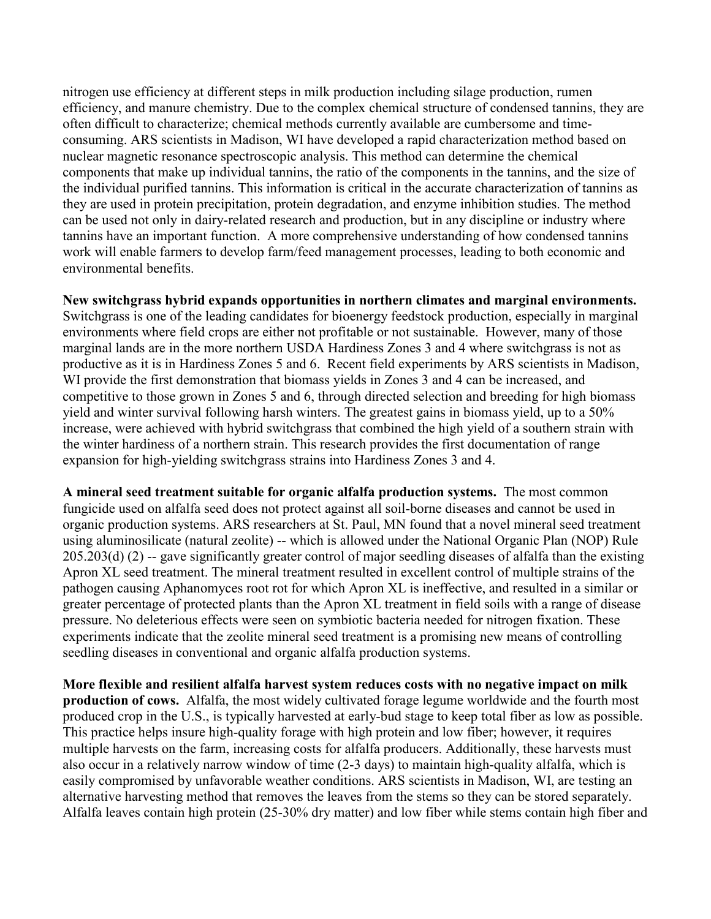nitrogen use efficiency at different steps in milk production including silage production, rumen efficiency, and manure chemistry. Due to the complex chemical structure of condensed tannins, they are often difficult to characterize; chemical methods currently available are cumbersome and timeconsuming. ARS scientists in Madison, WI have developed a rapid characterization method based on nuclear magnetic resonance spectroscopic analysis. This method can determine the chemical components that make up individual tannins, the ratio of the components in the tannins, and the size of the individual purified tannins. This information is critical in the accurate characterization of tannins as they are used in protein precipitation, protein degradation, and enzyme inhibition studies. The method can be used not only in dairy-related research and production, but in any discipline or industry where tannins have an important function. A more comprehensive understanding of how condensed tannins work will enable farmers to develop farm/feed management processes, leading to both economic and environmental benefits.

**New switchgrass hybrid expands opportunities in northern climates and marginal environments.** Switchgrass is one of the leading candidates for bioenergy feedstock production, especially in marginal environments where field crops are either not profitable or not sustainable. However, many of those marginal lands are in the more northern USDA Hardiness Zones 3 and 4 where switchgrass is not as productive as it is in Hardiness Zones 5 and 6. Recent field experiments by ARS scientists in Madison, WI provide the first demonstration that biomass yields in Zones 3 and 4 can be increased, and competitive to those grown in Zones 5 and 6, through directed selection and breeding for high biomass yield and winter survival following harsh winters. The greatest gains in biomass yield, up to a 50% increase, were achieved with hybrid switchgrass that combined the high yield of a southern strain with the winter hardiness of a northern strain. This research provides the first documentation of range expansion for high-yielding switchgrass strains into Hardiness Zones 3 and 4.

**A mineral seed treatment suitable for organic alfalfa production systems.** The most common fungicide used on alfalfa seed does not protect against all soil-borne diseases and cannot be used in organic production systems. ARS researchers at St. Paul, MN found that a novel mineral seed treatment using aluminosilicate (natural zeolite) -- which is allowed under the National Organic Plan (NOP) Rule 205.203(d) (2) -- gave significantly greater control of major seedling diseases of alfalfa than the existing Apron XL seed treatment. The mineral treatment resulted in excellent control of multiple strains of the pathogen causing Aphanomyces root rot for which Apron XL is ineffective, and resulted in a similar or greater percentage of protected plants than the Apron XL treatment in field soils with a range of disease pressure. No deleterious effects were seen on symbiotic bacteria needed for nitrogen fixation. These experiments indicate that the zeolite mineral seed treatment is a promising new means of controlling seedling diseases in conventional and organic alfalfa production systems.

**More flexible and resilient alfalfa harvest system reduces costs with no negative impact on milk production of cows.** Alfalfa, the most widely cultivated forage legume worldwide and the fourth most produced crop in the U.S., is typically harvested at early-bud stage to keep total fiber as low as possible. This practice helps insure high-quality forage with high protein and low fiber; however, it requires multiple harvests on the farm, increasing costs for alfalfa producers. Additionally, these harvests must also occur in a relatively narrow window of time (2-3 days) to maintain high-quality alfalfa, which is easily compromised by unfavorable weather conditions. ARS scientists in Madison, WI, are testing an alternative harvesting method that removes the leaves from the stems so they can be stored separately. Alfalfa leaves contain high protein (25-30% dry matter) and low fiber while stems contain high fiber and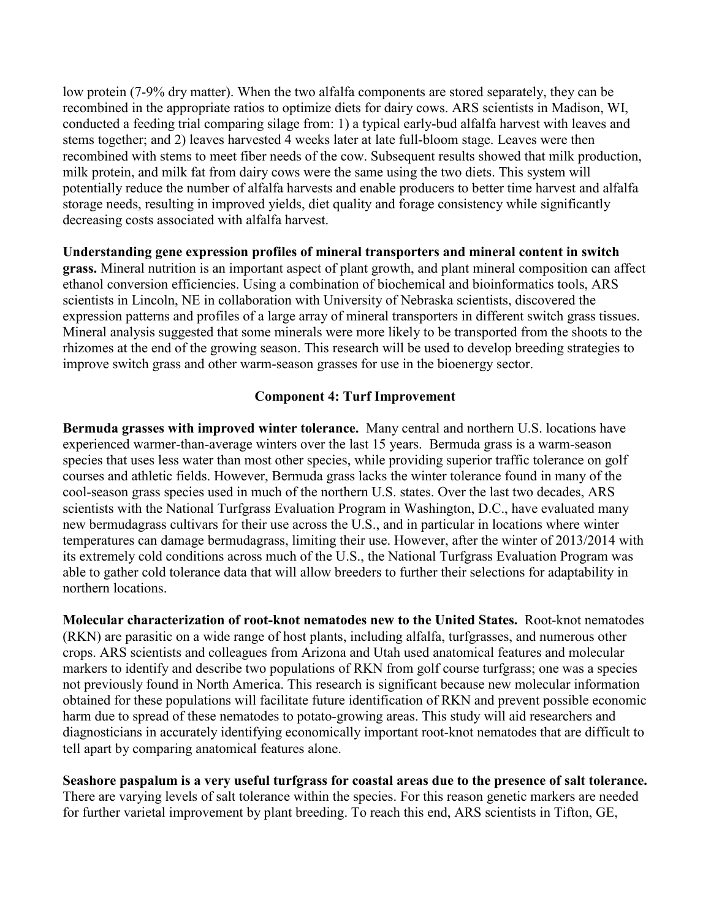low protein (7-9% dry matter). When the two alfalfa components are stored separately, they can be recombined in the appropriate ratios to optimize diets for dairy cows. ARS scientists in Madison, WI, conducted a feeding trial comparing silage from: 1) a typical early-bud alfalfa harvest with leaves and stems together; and 2) leaves harvested 4 weeks later at late full-bloom stage. Leaves were then recombined with stems to meet fiber needs of the cow. Subsequent results showed that milk production, milk protein, and milk fat from dairy cows were the same using the two diets. This system will potentially reduce the number of alfalfa harvests and enable producers to better time harvest and alfalfa storage needs, resulting in improved yields, diet quality and forage consistency while significantly decreasing costs associated with alfalfa harvest.

**Understanding gene expression profiles of mineral transporters and mineral content in switch grass.** Mineral nutrition is an important aspect of plant growth, and plant mineral composition can affect ethanol conversion efficiencies. Using a combination of biochemical and bioinformatics tools, ARS scientists in Lincoln, NE in collaboration with University of Nebraska scientists, discovered the expression patterns and profiles of a large array of mineral transporters in different switch grass tissues. Mineral analysis suggested that some minerals were more likely to be transported from the shoots to the rhizomes at the end of the growing season. This research will be used to develop breeding strategies to improve switch grass and other warm-season grasses for use in the bioenergy sector.

## **Component 4: Turf Improvement**

**Bermuda grasses with improved winter tolerance.** Many central and northern U.S. locations have experienced warmer-than-average winters over the last 15 years. Bermuda grass is a warm-season species that uses less water than most other species, while providing superior traffic tolerance on golf courses and athletic fields. However, Bermuda grass lacks the winter tolerance found in many of the cool-season grass species used in much of the northern U.S. states. Over the last two decades, ARS scientists with the National Turfgrass Evaluation Program in Washington, D.C., have evaluated many new bermudagrass cultivars for their use across the U.S., and in particular in locations where winter temperatures can damage bermudagrass, limiting their use. However, after the winter of 2013/2014 with its extremely cold conditions across much of the U.S., the National Turfgrass Evaluation Program was able to gather cold tolerance data that will allow breeders to further their selections for adaptability in northern locations.

**Molecular characterization of root-knot nematodes new to the United States.** Root-knot nematodes (RKN) are parasitic on a wide range of host plants, including alfalfa, turfgrasses, and numerous other crops. ARS scientists and colleagues from Arizona and Utah used anatomical features and molecular markers to identify and describe two populations of RKN from golf course turfgrass; one was a species not previously found in North America. This research is significant because new molecular information obtained for these populations will facilitate future identification of RKN and prevent possible economic harm due to spread of these nematodes to potato-growing areas. This study will aid researchers and diagnosticians in accurately identifying economically important root-knot nematodes that are difficult to tell apart by comparing anatomical features alone.

**Seashore paspalum is a very useful turfgrass for coastal areas due to the presence of salt tolerance.**  There are varying levels of salt tolerance within the species. For this reason genetic markers are needed for further varietal improvement by plant breeding. To reach this end, ARS scientists in Tifton, GE,